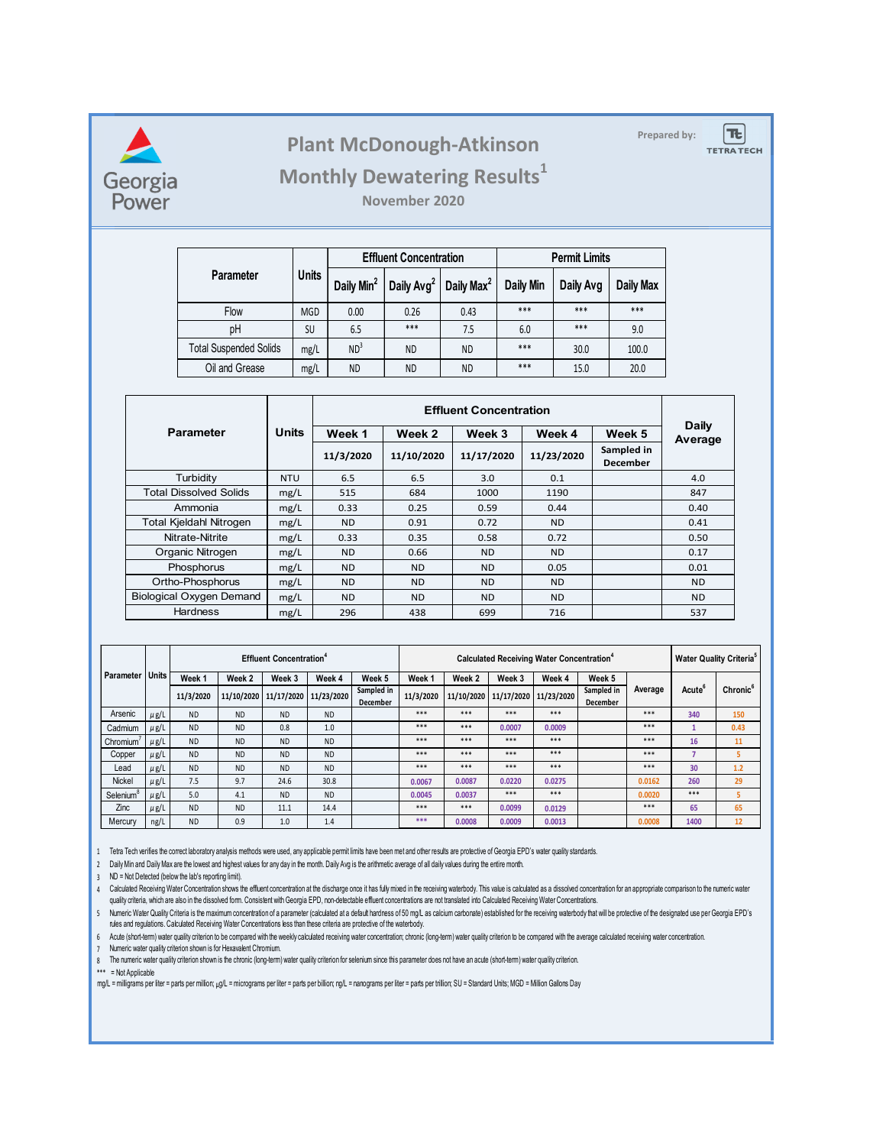

## **Prepared by: Plant McDonough-Atkinson**

|Tt

**TETRA TECH** 

## **Monthly Dewatering Results<sup>1</sup>**

**November 2020**

|                                       |              |                        | <b>Effluent Concentration</b> |                        | <b>Permit Limits</b> |           |           |  |
|---------------------------------------|--------------|------------------------|-------------------------------|------------------------|----------------------|-----------|-----------|--|
| <b>Parameter</b>                      | <b>Units</b> | Daily Min <sup>2</sup> | Daily Avg <sup>2</sup>        | Daily Max <sup>2</sup> | Daily Min            | Daily Avg | Daily Max |  |
| Flow                                  | <b>MGD</b>   | 0.00                   | 0.26                          | 0.43                   | $***$                | ***       |           |  |
| рH                                    | SU           | 6.5                    | ***                           | 7.5                    | 6.0                  | ***       | 9.0       |  |
| <b>Total Suspended Solids</b><br>mg/L |              | ND <sup>3</sup>        | <b>ND</b>                     | ND.                    | ***                  | 30.0      | 100.0     |  |
| Oil and Grease                        | mg/L         | <b>ND</b>              | <b>ND</b>                     | ND                     | ***                  | 15.0      | 20.0      |  |

|                                 | Units      |                | Daily      |            |            |                               |           |
|---------------------------------|------------|----------------|------------|------------|------------|-------------------------------|-----------|
| <b>Parameter</b>                |            | Week 1         | Week 2     | Week 3     | Week 4     | Week 5                        | Average   |
|                                 |            | 11/3/2020      | 11/10/2020 | 11/17/2020 | 11/23/2020 | Sampled in<br><b>December</b> |           |
| Turbidity                       | <b>NTU</b> | 6.5            | 6.5        | 3.0        | 0.1        |                               | 4.0       |
| <b>Total Dissolved Solids</b>   | mg/L       | 515            | 684        | 1000       | 1190       |                               | 847       |
| Ammonia                         | mg/L       | 0.33           | 0.25       | 0.59       | 0.44       |                               | 0.40      |
| Total Kjeldahl Nitrogen         | mg/L       | N <sub>D</sub> | 0.91       | 0.72       | ND.        |                               | 0.41      |
| Nitrate-Nitrite                 | mg/L       | 0.33           | 0.35       | 0.58       | 0.72       |                               | 0.50      |
| Organic Nitrogen                | mg/L       | <b>ND</b>      | 0.66       | ND.        | <b>ND</b>  |                               | 0.17      |
| Phosphorus                      | mg/L       | <b>ND</b>      | <b>ND</b>  | ND.        | 0.05       |                               | 0.01      |
| Ortho-Phosphorus                | mg/L       | N <sub>D</sub> | <b>ND</b>  | <b>ND</b>  | <b>ND</b>  |                               | <b>ND</b> |
| <b>Biological Oxygen Demand</b> | mg/L       | <b>ND</b>      | <b>ND</b>  | ND.        | <b>ND</b>  |                               | ND.       |
| <b>Hardness</b>                 | mg/L       | 296            | 438        | 699        | 716        |                               | 537       |

|                       |              |           |            | <b>Effluent Concentration<sup>4</sup></b> |                       | Calculated Receiving Water Concentration <sup>4</sup> |           |        |                                  |        |                               | <b>Water Quality Criteria</b> <sup>5</sup> |                    |                      |
|-----------------------|--------------|-----------|------------|-------------------------------------------|-----------------------|-------------------------------------------------------|-----------|--------|----------------------------------|--------|-------------------------------|--------------------------------------------|--------------------|----------------------|
| Parameter             | <b>Units</b> | Week 1    | Week 2     | Week 3                                    | Week 4                | Week 5                                                | Week 1    | Week 2 | Week 3                           | Week 4 | Week 5                        |                                            |                    |                      |
|                       |              | 11/3/2020 | 11/10/2020 |                                           | 11/17/2020 11/23/2020 | Sampled in<br><b>December</b>                         | 11/3/2020 |        | 11/10/2020 11/17/2020 11/23/2020 |        | Sampled in<br><b>December</b> | Average                                    | Acute <sup>o</sup> | Chronic <sup>6</sup> |
| Arsenic               | $\mu$ g/L    | <b>ND</b> | <b>ND</b>  | <b>ND</b>                                 | <b>ND</b>             |                                                       | $***$     | $***$  | $***$                            | $***$  |                               | $***$                                      | 340                | 150                  |
| Cadmium               | $\mu$ g/L    | <b>ND</b> | <b>ND</b>  | 0.8                                       | 1.0                   |                                                       | $***$     | $***$  | 0.0007                           | 0.0009 |                               | $***$                                      |                    | 0.43                 |
| Chromium              | $\mu$ g/L    | <b>ND</b> | <b>ND</b>  | <b>ND</b>                                 | <b>ND</b>             |                                                       | $***$     | $***$  | $***$                            | $***$  |                               | $***$                                      | 16                 | 11                   |
| Copper                | $\mu$ g/L    | <b>ND</b> | <b>ND</b>  | <b>ND</b>                                 | <b>ND</b>             |                                                       | $***$     | $***$  | $***$                            | $***$  |                               | $***$                                      |                    | 5                    |
| Lead                  | $\mu$ g/L    | <b>ND</b> | <b>ND</b>  | <b>ND</b>                                 | <b>ND</b>             |                                                       | $***$     | $***$  | $***$                            | $***$  |                               | $***$                                      | 30                 | 1.2                  |
| Nickel                | $\mu$ g/L    | 7.5       | 9.7        | 24.6                                      | 30.8                  |                                                       | 0.0067    | 0.0087 | 0.0220                           | 0.0275 |                               | 0.0162                                     | 260                | 29                   |
| Selenium <sup>8</sup> | $\mu$ g/L    | 5.0       | 4.1        | <b>ND</b>                                 | <b>ND</b>             |                                                       | 0.0045    | 0.0037 | ***                              | $***$  |                               | 0.0020                                     | ***                |                      |
| Zinc                  | $\mu$ g/L    | <b>ND</b> | <b>ND</b>  | 11.1                                      | 14.4                  |                                                       | $***$     | $***$  | 0.0099                           | 0.0129 |                               | $***$                                      | 65                 | 65                   |
| Mercury               | ng/L         | <b>ND</b> | 0.9        | 1.0                                       | 1.4                   |                                                       | ***       | 0.0008 | 0.0009                           | 0.0013 |                               | 0.0008                                     | 1400               | 12                   |

1 Tetra Tech verifies the correct laboratory analysis methods were used, any applicable permit limits have been met and other results are protective of Georgia EPD's water quality standards.

2 Daily Min and Daily Max are the lowest and highest values for any day in the month. Daily Avg is the arithmetic average of all daily values during the entire month.

3 ND = Not Detected (below the lab's reporting limit).

4 Calculated Receiving water Concentration snows the effluent concentration at the discharge once it has fully mixed in the receiving waterbody. This value is calculated as a dissolved concentration for an appropriate comp quality criteria, which are also in the dissolved form. Consistent with Georgia EPD, non-detectable effluent concentrations are not translated into Calculated Receiving Water Concentrations.

5 Numeric water Quality Criteria is the maximum concentration of a parameter (calculated at a default nardness of 50 mg/L as calcium carbonate) established for the receiving waterbody that will be protective of the designa rules and regulations. Calculated Receiving Water Concentrations less than these criteria are protective of the waterbody.

6 Acute (short-term) water quality criterion to be compared with the weekly calculated receiving water concentration; chronic (long-term) water quality criterion to be compared with the average calculated receiving water c

7 Numeric water quality criterion shown is for Hexavalent Chromium.

8 The numeric water quality criterion shown is the chronic (long-term) water quality criterion for selenium since this parameter does not have an acute (short-term) water quality criterion.

\*\*\* = Not Applicable

mg/L = milligrams per liter = parts per million; µg/L = micrograms per liter = parts per billion; ng/L = nanograms per liter = parts per trillion; SU = Standard Units; MGD = Million Gallons Day